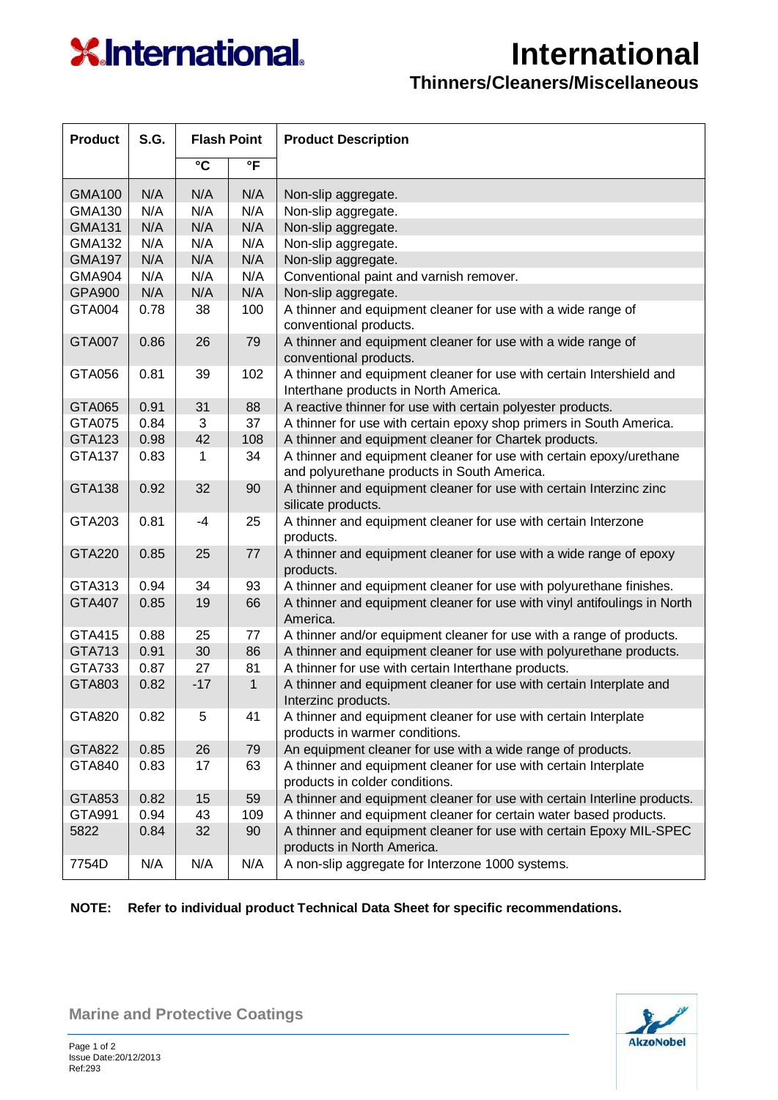## **X**International.

## **International**

## **Thinners/Cleaners/Miscellaneous**

| <b>Product</b> | S.G. | <b>Flash Point</b> |              | <b>Product Description</b>                                                                                         |
|----------------|------|--------------------|--------------|--------------------------------------------------------------------------------------------------------------------|
|                |      | °C                 | °F           |                                                                                                                    |
| <b>GMA100</b>  | N/A  | N/A                | N/A          | Non-slip aggregate.                                                                                                |
| GMA130         | N/A  | N/A                | N/A          | Non-slip aggregate.                                                                                                |
| <b>GMA131</b>  | N/A  | N/A                | N/A          | Non-slip aggregate.                                                                                                |
| <b>GMA132</b>  | N/A  | N/A                | N/A          | Non-slip aggregate.                                                                                                |
| <b>GMA197</b>  | N/A  | N/A                | N/A          | Non-slip aggregate.                                                                                                |
| <b>GMA904</b>  | N/A  | N/A                | N/A          | Conventional paint and varnish remover.                                                                            |
| <b>GPA900</b>  | N/A  | N/A                | N/A          | Non-slip aggregate.                                                                                                |
| GTA004         | 0.78 | 38                 | 100          | A thinner and equipment cleaner for use with a wide range of<br>conventional products.                             |
| <b>GTA007</b>  | 0.86 | 26                 | 79           | A thinner and equipment cleaner for use with a wide range of<br>conventional products.                             |
| GTA056         | 0.81 | 39                 | 102          | A thinner and equipment cleaner for use with certain Intershield and<br>Interthane products in North America.      |
| <b>GTA065</b>  | 0.91 | 31                 | 88           | A reactive thinner for use with certain polyester products.                                                        |
| <b>GTA075</b>  | 0.84 | 3                  | 37           | A thinner for use with certain epoxy shop primers in South America.                                                |
| <b>GTA123</b>  | 0.98 | 42                 | 108          | A thinner and equipment cleaner for Chartek products.                                                              |
| GTA137         | 0.83 | 1                  | 34           | A thinner and equipment cleaner for use with certain epoxy/urethane<br>and polyurethane products in South America. |
| <b>GTA138</b>  | 0.92 | 32                 | 90           | A thinner and equipment cleaner for use with certain Interzinc zinc<br>silicate products.                          |
| GTA203         | 0.81 | $-4$               | 25           | A thinner and equipment cleaner for use with certain Interzone<br>products.                                        |
| <b>GTA220</b>  | 0.85 | 25                 | 77           | A thinner and equipment cleaner for use with a wide range of epoxy<br>products.                                    |
| GTA313         | 0.94 | 34                 | 93           | A thinner and equipment cleaner for use with polyurethane finishes.                                                |
| <b>GTA407</b>  | 0.85 | 19                 | 66           | A thinner and equipment cleaner for use with vinyl antifoulings in North<br>America.                               |
| GTA415         | 0.88 | 25                 | 77           | A thinner and/or equipment cleaner for use with a range of products.                                               |
| GTA713         | 0.91 | 30                 | 86           | A thinner and equipment cleaner for use with polyurethane products.                                                |
| GTA733         | 0.87 | 27                 | 81           | A thinner for use with certain Interthane products.                                                                |
| GTA803         | 0.82 | $-17$              | $\mathbf{1}$ | A thinner and equipment cleaner for use with certain Interplate and<br>Interzinc products.                         |
| GTA820         | 0.82 | 5                  | 41           | A thinner and equipment cleaner for use with certain Interplate<br>products in warmer conditions.                  |
| <b>GTA822</b>  | 0.85 | 26                 | 79           | An equipment cleaner for use with a wide range of products.                                                        |
| GTA840         | 0.83 | 17                 | 63           | A thinner and equipment cleaner for use with certain Interplate<br>products in colder conditions.                  |
| GTA853         | 0.82 | 15                 | 59           | A thinner and equipment cleaner for use with certain Interline products.                                           |
| GTA991         | 0.94 | 43                 | 109          | A thinner and equipment cleaner for certain water based products.                                                  |
| 5822           | 0.84 | 32                 | 90           | A thinner and equipment cleaner for use with certain Epoxy MIL-SPEC<br>products in North America.                  |
| 7754D          | N/A  | N/A                | N/A          | A non-slip aggregate for Interzone 1000 systems.                                                                   |

## **NOTE: Refer to individual product Technical Data Sheet for specific recommendations.**



**Marine and Protective Coatings**